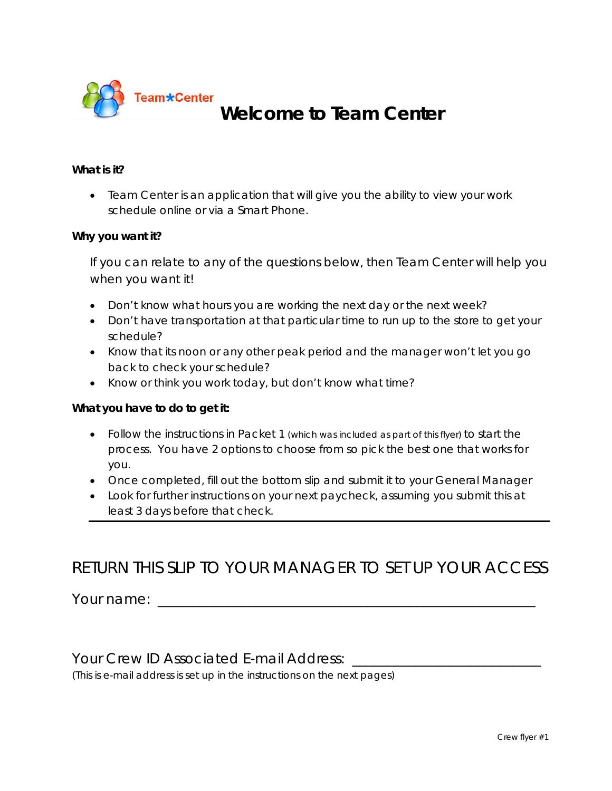

# **Welcome to Team Center**

#### **What is it?**

 Team Center is an application that will give you the ability to view your work schedule online or via a Smart Phone.

#### **Why you want it?**

*If you can relate to any of the questions below, then Team Center will help you when you want it!* 

- Don't know what hours you are working the next day or the next week?
- Don't have transportation at that particular time to run up to the store to get your schedule?
- Know that its noon or any other peak period and the manager won't let you go back to check your schedule?
- Know or think you work today, but don't know what time?

#### **What you have to do to get it:**

- Follow the instructions in Packet 1 (which was included as part of this flyer) to start the process. You have 2 options to choose from so pick the best one that works for you.
- Once completed, fill out the bottom slip and submit it to your General Manager
- Look for further instructions on your next paycheck, assuming you submit this at least 3 days before that check.

## RETURN THIS SLIP TO YOUR MANAGER TO SET UP YOUR ACCESS

Your name: \_\_\_\_\_\_\_\_\_\_\_\_\_\_\_\_\_\_\_\_\_\_\_\_\_\_\_\_\_\_\_\_\_\_\_\_\_\_\_\_\_\_\_\_\_\_\_\_\_\_\_\_\_\_

#### Your Crew ID Associated E-mail Address:

(This is e-mail address is set up in the instructions on the next pages)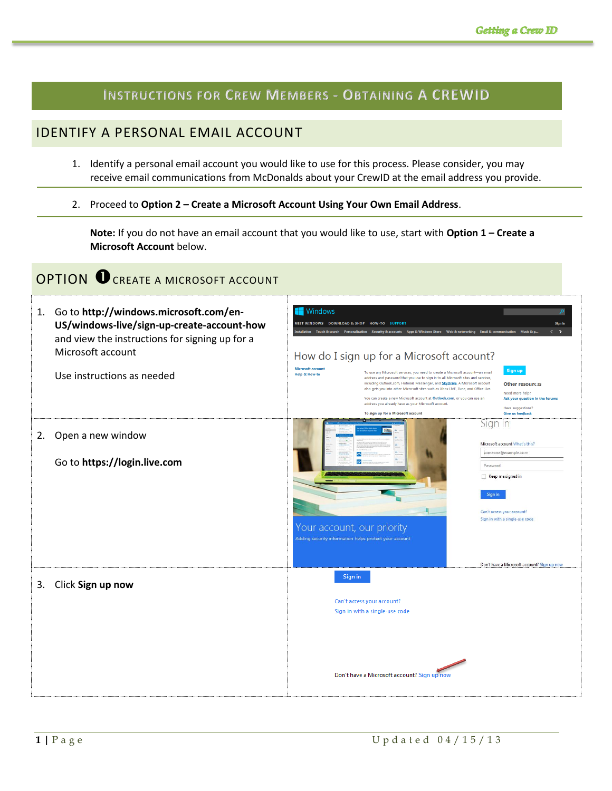### **INSTRUCTIONS FOR CREW MEMBERS - OBTAINING A CREWID**

### IDENTIFY A PERSONAL EMAIL ACCOUNT

- 1. Identify a personal email account you would like to use for this process. Please consider, you may receive email communications from McDonalds about your CrewID at the email address you provide.
- 2. Proceed to **Option 2 – Create a Microsoft Account Using Your Own Email Address**.

**Note:** If you do not have an email account that you would like to use, start with **Option 1 – Create a Microsoft Account** below.

# OPTION OCREATE A MICROSOFT ACCOUNT

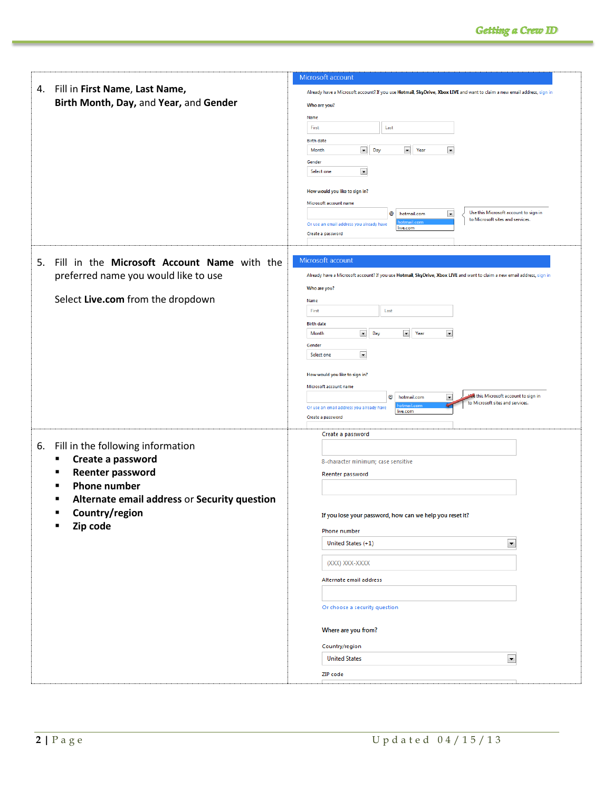|                                                   | Microsoft account                                                                                                                                                               |  |
|---------------------------------------------------|---------------------------------------------------------------------------------------------------------------------------------------------------------------------------------|--|
| 4. Fill in First Name, Last Name,                 | Already have a Microsoft account? If you use Hotmail, SkyDrive, Xbox LIVE and want to claim a new email address, sign in                                                        |  |
| Birth Month, Day, and Year, and Gender            | Who are you?                                                                                                                                                                    |  |
|                                                   | Name                                                                                                                                                                            |  |
|                                                   | First<br>Last                                                                                                                                                                   |  |
|                                                   | <b>Birth date</b>                                                                                                                                                               |  |
|                                                   | $\boxed{\blacksquare}$ Day<br>$\blacktriangleright$ Year<br>$\vert \mathbf{r} \vert$<br><b>Month</b>                                                                            |  |
|                                                   | Gender<br>$\blacksquare$<br>Select one                                                                                                                                          |  |
|                                                   |                                                                                                                                                                                 |  |
|                                                   | How would you like to sign in?                                                                                                                                                  |  |
|                                                   | Microsoft account name<br>Use this Microsoft account to sign in                                                                                                                 |  |
|                                                   | $\blacksquare$<br>@<br>hotmail.com<br>to Microsoft sites and services.<br>Or use an email address you already have                                                              |  |
|                                                   | live.com<br>Create a password                                                                                                                                                   |  |
|                                                   |                                                                                                                                                                                 |  |
| 5. Fill in the Microsoft Account Name with the    | Microsoft account                                                                                                                                                               |  |
| preferred name you would like to use              | Already have a Microsoft account? If you use Hotmail, SkyDrive, Xbox LIVE and want to claim a new email address, sign in                                                        |  |
|                                                   | Who are you?                                                                                                                                                                    |  |
| Select Live.com from the dropdown                 | Name                                                                                                                                                                            |  |
|                                                   | First<br>Last                                                                                                                                                                   |  |
|                                                   | <b>Birth date</b>                                                                                                                                                               |  |
|                                                   | $\boxed{\blacksquare}$ Day<br>$\blacktriangleright$ Year<br>$\blacksquare$<br>Month                                                                                             |  |
|                                                   | Gender<br>$\blacksquare$<br>Select one                                                                                                                                          |  |
|                                                   |                                                                                                                                                                                 |  |
|                                                   | How would you like to sign in?                                                                                                                                                  |  |
|                                                   | Microsoft account name                                                                                                                                                          |  |
|                                                   | this Microsoft account to sign in<br>$\overline{\phantom{a}}$<br>@<br>hotmail.com<br>to Microsoft sites and services.<br>otmail.com<br>Or use an email address you already have |  |
|                                                   | live.com<br>Create a password                                                                                                                                                   |  |
|                                                   | Create a password                                                                                                                                                               |  |
|                                                   |                                                                                                                                                                                 |  |
|                                                   |                                                                                                                                                                                 |  |
| 6. Fill in the following information<br>٠         |                                                                                                                                                                                 |  |
| Create a password<br>٠                            | 8-character minimum; case sensitive                                                                                                                                             |  |
| <b>Reenter password</b><br>$\blacksquare$         | Reenter password                                                                                                                                                                |  |
| <b>Phone number</b>                               |                                                                                                                                                                                 |  |
| Alternate email address or Security question<br>п |                                                                                                                                                                                 |  |
| Country/region<br>п                               | If you lose your password, how can we help you reset it?                                                                                                                        |  |
| Zip code<br>٠                                     | Phone number                                                                                                                                                                    |  |
|                                                   | $\overline{\phantom{a}}$<br>United States (+1)                                                                                                                                  |  |
|                                                   | (XXX) XXX-XXXX                                                                                                                                                                  |  |
|                                                   | Alternate email address                                                                                                                                                         |  |
|                                                   |                                                                                                                                                                                 |  |
|                                                   | Or choose a security question                                                                                                                                                   |  |
|                                                   | Where are you from?                                                                                                                                                             |  |
|                                                   | Country/region                                                                                                                                                                  |  |
|                                                   | $\blacksquare$<br><b>United States</b>                                                                                                                                          |  |
|                                                   | ZIP code                                                                                                                                                                        |  |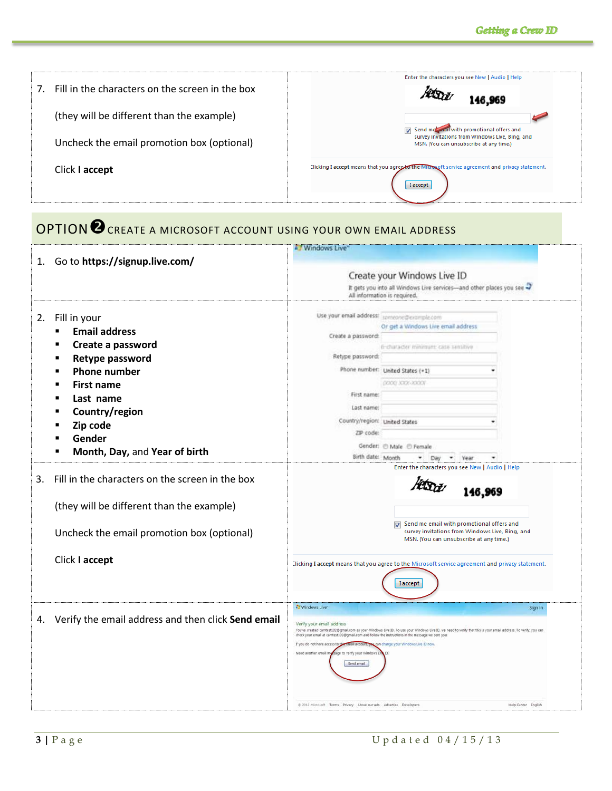| Fill in the characters on the screen in the box<br>7 <sub>1</sub> | Enter the characters you see New   Audio   Help<br>146,969                                                                              |
|-------------------------------------------------------------------|-----------------------------------------------------------------------------------------------------------------------------------------|
| (they will be different than the example)                         |                                                                                                                                         |
| Uncheck the email promotion box (optional)                        | Send met mail with promotional offers and<br>survey invitations from Windows Live, Bing, and<br>MSN. (You can unsubscribe at any time.) |
| Click I accept                                                    | Clicking I accept means that you agree to the Microscoft service agreement and privacy statement.<br><b>I</b> accept                    |

# OPTION<sup>O</sup> CREATE A MICROSOFT ACCOUNT USING YOUR OWN EMAIL ADDRESS

|    |                                                    | Windows Live                                                                                                                  |                                                                                                                                                                 |         |
|----|----------------------------------------------------|-------------------------------------------------------------------------------------------------------------------------------|-----------------------------------------------------------------------------------------------------------------------------------------------------------------|---------|
| 1. | Go to https://signup.live.com/                     |                                                                                                                               | Create your Windows Live ID                                                                                                                                     |         |
|    |                                                    | It gets you into all Windows Live services-and other places you see                                                           |                                                                                                                                                                 |         |
|    |                                                    |                                                                                                                               | All information is required.                                                                                                                                    |         |
| 2. | Fill in your                                       | Use your email address:                                                                                                       | someone@example.com                                                                                                                                             |         |
|    | <b>Email address</b><br>$\blacksquare$             |                                                                                                                               | Or get a Windows Live email address                                                                                                                             |         |
|    |                                                    | Create a password:                                                                                                            |                                                                                                                                                                 |         |
|    | Create a password                                  |                                                                                                                               | 6-character minimum: case semative                                                                                                                              |         |
|    | Retype password<br>п                               | Retype password:                                                                                                              |                                                                                                                                                                 |         |
|    | <b>Phone number</b>                                |                                                                                                                               | Phone number: United States (+1)                                                                                                                                |         |
|    | <b>First name</b>                                  |                                                                                                                               | <b>COOC XXX-XXXXX</b>                                                                                                                                           |         |
|    | Last name                                          | First name:                                                                                                                   |                                                                                                                                                                 |         |
|    | Country/region                                     | Last name:                                                                                                                    |                                                                                                                                                                 |         |
|    | Zip code                                           | Country/region: United States                                                                                                 |                                                                                                                                                                 |         |
|    | Gender                                             | ZIP code:                                                                                                                     |                                                                                                                                                                 |         |
|    |                                                    |                                                                                                                               | Gender: @ Male @ Female                                                                                                                                         |         |
|    | Month, Day, and Year of birth                      | Birth date: Month                                                                                                             | ۰<br>Year<br>Day<br>٠                                                                                                                                           |         |
| 3. | Fill in the characters on the screen in the box    | Enter the characters you see New   Audio   Help<br>146,969                                                                    |                                                                                                                                                                 |         |
|    | (they will be different than the example)          |                                                                                                                               |                                                                                                                                                                 |         |
|    | Uncheck the email promotion box (optional)         |                                                                                                                               | Send me email with promotional offers and<br>$\overline{J}$<br>survey invitations from Windows Live, Bing, and<br>MSN. (You can unsubscribe at any time.)       |         |
|    | Click I accept                                     |                                                                                                                               | Clicking I accept means that you agree to the Microsoft service agreement and privacy statement.                                                                |         |
|    |                                                    |                                                                                                                               | <b>I</b> accept                                                                                                                                                 |         |
|    |                                                    | <b>Ly</b> Windows Live                                                                                                        |                                                                                                                                                                 | Sign in |
| 4. | Verify the email address and then click Send email |                                                                                                                               |                                                                                                                                                                 |         |
|    |                                                    | Verify your email address<br>check your email at camtest102@gmail.com and follow the instructions in the message we sent you. | You've created camtest102@gmail.com as your Windows Live ID. To use your Windows Live ID, we need to verify that this is your email address. To verify, you can |         |
|    |                                                    | If you do not have access to this email as                                                                                    | in change your Windows Live ID now.                                                                                                                             |         |
|    |                                                    | Need another email n<br>sage to verify your Windows<br>Send email                                                             |                                                                                                                                                                 |         |
|    |                                                    | @ 2012 Microsoft Terms Privacy About our ads Advertise Developers                                                             | Help Center English                                                                                                                                             |         |